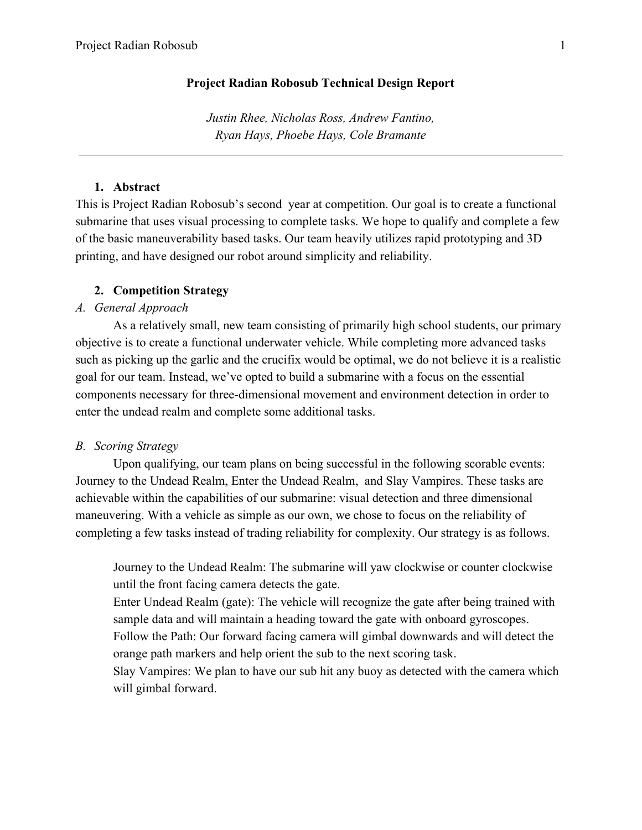# **Project Radian Robosub Technical Design Report**

*Justin Rhee, Nicholas Ross, Andrew Fantino, Ryan Hays, Phoebe Hays, Cole Bramante*

## **1. Abstract**

This is Project Radian Robosub's second year at competition. Our goal is to create a functional submarine that uses visual processing to complete tasks. We hope to qualify and complete a few of the basic maneuverability based tasks. Our team heavily utilizes rapid prototyping and 3D printing, and have designed our robot around simplicity and reliability.

### **2. Competition Strategy**

# *A. General Approach*

As a relatively small, new team consisting of primarily high school students, our primary objective is to create a functional underwater vehicle. While completing more advanced tasks such as picking up the garlic and the crucifix would be optimal, we do not believe it is a realistic goal for our team. Instead, we've opted to build a submarine with a focus on the essential components necessary for three-dimensional movement and environment detection in order to enter the undead realm and complete some additional tasks.

### *B. Scoring Strategy*

Upon qualifying, our team plans on being successful in the following scorable events: Journey to the Undead Realm, Enter the Undead Realm, and Slay Vampires. These tasks are achievable within the capabilities of our submarine: visual detection and three dimensional maneuvering. With a vehicle as simple as our own, we chose to focus on the reliability of completing a few tasks instead of trading reliability for complexity. Our strategy is as follows.

Journey to the Undead Realm: The submarine will yaw clockwise or counter clockwise until the front facing camera detects the gate.

Enter Undead Realm (gate): The vehicle will recognize the gate after being trained with sample data and will maintain a heading toward the gate with onboard gyroscopes.

Follow the Path: Our forward facing camera will gimbal downwards and will detect the orange path markers and help orient the sub to the next scoring task.

Slay Vampires: We plan to have our sub hit any buoy as detected with the camera which will gimbal forward.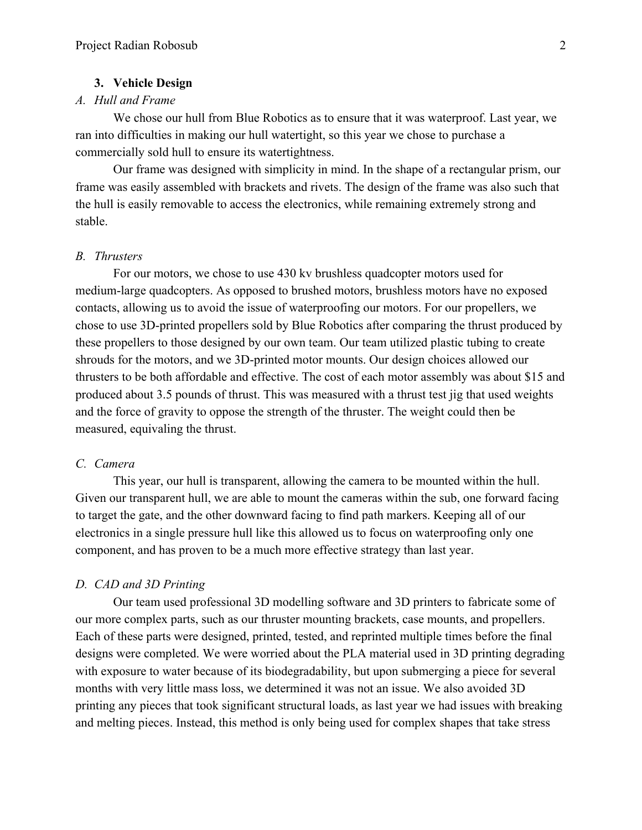#### **3. Vehicle Design**

# *A. Hull and Frame*

We chose our hull from Blue Robotics as to ensure that it was waterproof. Last year, we ran into difficulties in making our hull watertight, so this year we chose to purchase a commercially sold hull to ensure its watertightness.

Our frame was designed with simplicity in mind. In the shape of a rectangular prism, our frame was easily assembled with brackets and rivets. The design of the frame was also such that the hull is easily removable to access the electronics, while remaining extremely strong and stable.

## *B. Thrusters*

For our motors, we chose to use 430 kv brushless quadcopter motors used for medium-large quadcopters. As opposed to brushed motors, brushless motors have no exposed contacts, allowing us to avoid the issue of waterproofing our motors. For our propellers, we chose to use 3D-printed propellers sold by Blue Robotics after comparing the thrust produced by these propellers to those designed by our own team. Our team utilized plastic tubing to create shrouds for the motors, and we 3D-printed motor mounts. Our design choices allowed our thrusters to be both affordable and effective. The cost of each motor assembly was about \$15 and produced about 3.5 pounds of thrust. This was measured with a thrust test jig that used weights and the force of gravity to oppose the strength of the thruster. The weight could then be measured, equivaling the thrust.

#### *C. Camera*

This year, our hull is transparent, allowing the camera to be mounted within the hull. Given our transparent hull, we are able to mount the cameras within the sub, one forward facing to target the gate, and the other downward facing to find path markers. Keeping all of our electronics in a single pressure hull like this allowed us to focus on waterproofing only one component, and has proven to be a much more effective strategy than last year.

## *D. CAD and 3D Printing*

Our team used professional 3D modelling software and 3D printers to fabricate some of our more complex parts, such as our thruster mounting brackets, case mounts, and propellers. Each of these parts were designed, printed, tested, and reprinted multiple times before the final designs were completed. We were worried about the PLA material used in 3D printing degrading with exposure to water because of its biodegradability, but upon submerging a piece for several months with very little mass loss, we determined it was not an issue. We also avoided 3D printing any pieces that took significant structural loads, as last year we had issues with breaking and melting pieces. Instead, this method is only being used for complex shapes that take stress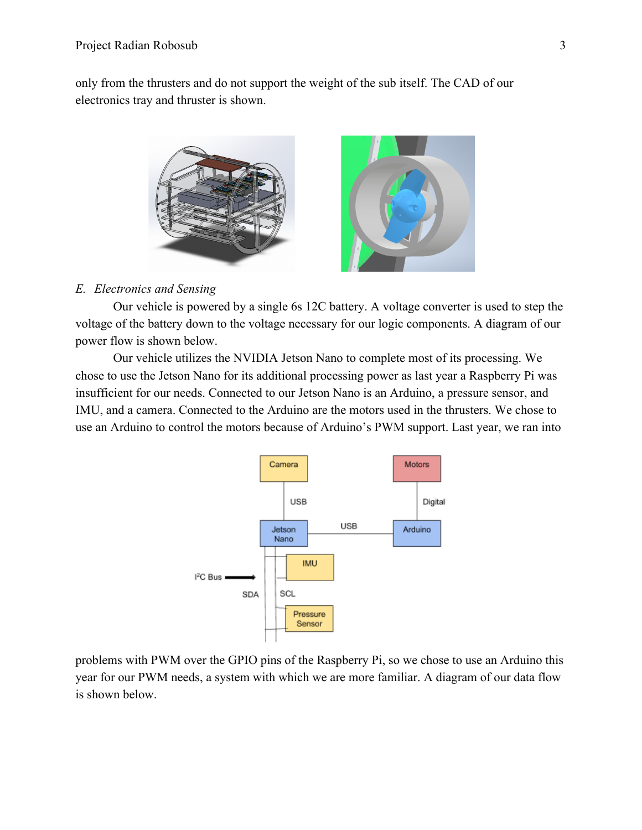only from the thrusters and do not support the weight of the sub itself. The CAD of our electronics tray and thruster is shown.



# *E. Electronics and Sensing*

Our vehicle is powered by a single 6s 12C battery. A voltage converter is used to step the voltage of the battery down to the voltage necessary for our logic components. A diagram of our power flow is shown below.

Our vehicle utilizes the NVIDIA Jetson Nano to complete most of its processing. We chose to use the Jetson Nano for its additional processing power as last year a Raspberry Pi was insufficient for our needs. Connected to our Jetson Nano is an Arduino, a pressure sensor, and IMU, and a camera. Connected to the Arduino are the motors used in the thrusters. We chose to use an Arduino to control the motors because of Arduino's PWM support. Last year, we ran into



problems with PWM over the GPIO pins of the Raspberry Pi, so we chose to use an Arduino this year for our PWM needs, a system with which we are more familiar. A diagram of our data flow is shown below.